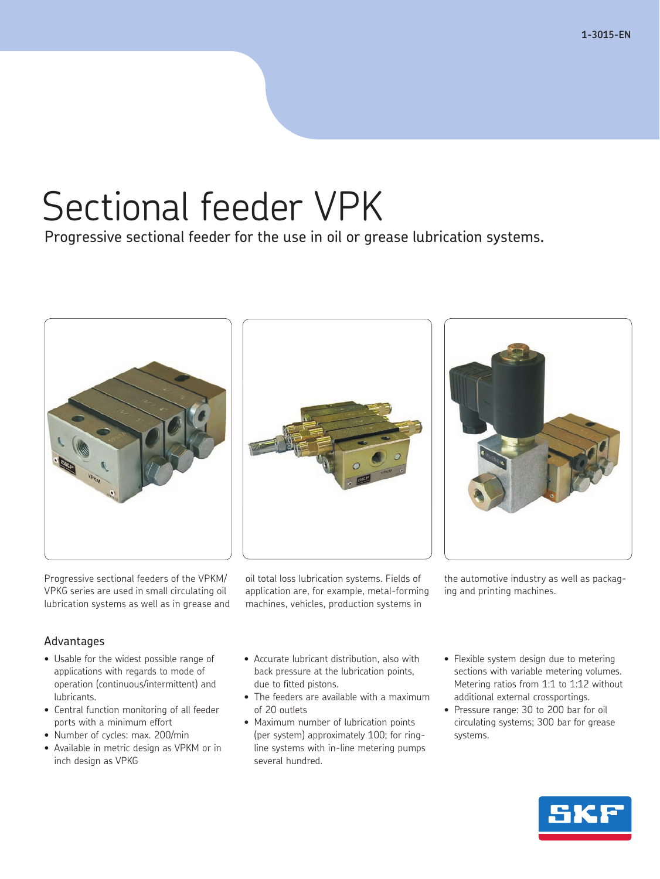**1-3015-EN**

# Sectional feeder VPK

Progressive sectional feeder for the use in oil or grease lubrication systems.





Progressive sectional feeders of the VPKM/ VPKG series are used in small circulating oil lubrication systems as well as in grease and oil total loss lubrication systems. Fields of application are, for example, metal-forming machines, vehicles, production systems in

the automotive industry as well as packaging and printing machines.

### Advantages

- Usable for the widest possible range of applications with regards to mode of operation (continuous/intermittent) and lubricants.
- • Central function monitoring of all feeder ports with a minimum effort
- Number of cycles: max. 200/min
- Available in metric design as VPKM or in inch design as VPKG
- Accurate lubricant distribution, also with back pressure at the lubrication points, due to fitted pistons.
- The feeders are available with a maximum of 20 outlets
- Maximum number of lubrication points (per system) approximately 100; for ringline systems with in-line metering pumps several hundred.
- Flexible system design due to metering sections with variable metering volumes. Metering ratios from 1:1 to 1:12 without additional external crossportings.
- Pressure range: 30 to 200 bar for oil circulating systems; 300 bar for grease systems.

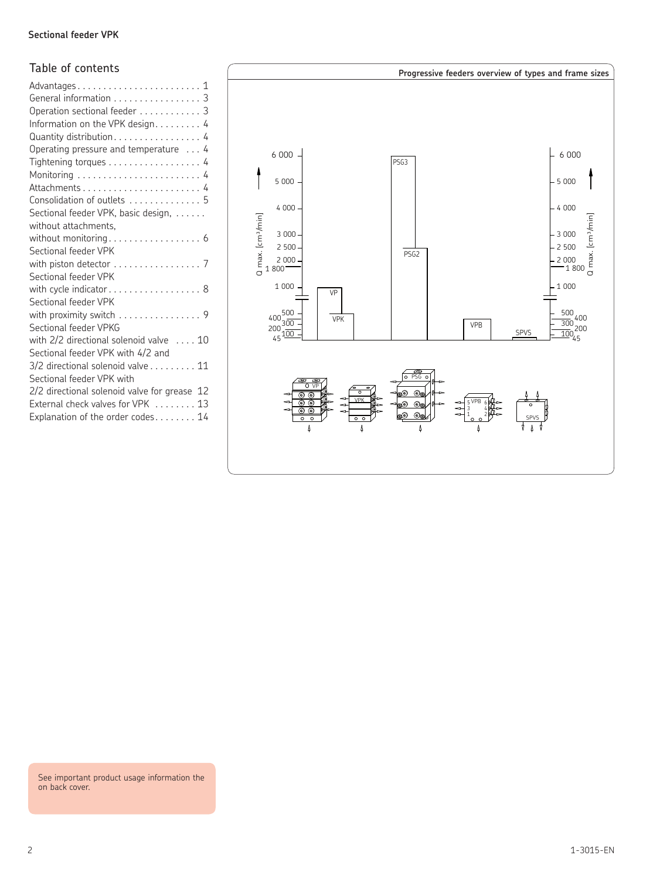### **Sectional feeder VPK Sectional feeder VPK**

### Table of contents

| General information 3<br>Operation sectional feeder 3<br>Information on the VPK design. 4<br>Quantity distribution 4<br>Operating pressure and temperature  4<br>Tightening torques 4 |
|---------------------------------------------------------------------------------------------------------------------------------------------------------------------------------------|
| Consolidation of outlets  5                                                                                                                                                           |
| Sectional feeder VPK, basic design,                                                                                                                                                   |
| without attachments,                                                                                                                                                                  |
| without monitoring 6<br>Sectional feeder VPK                                                                                                                                          |
| with piston detector  7                                                                                                                                                               |
| Sectional feeder VPK                                                                                                                                                                  |
| with cycle indicator 8                                                                                                                                                                |
| Sectional feeder VPK                                                                                                                                                                  |
| with proximity switch 9<br>Sectional feeder VPKG                                                                                                                                      |
| with 2/2 directional solenoid valve $\dots$ 10<br>Sectional feeder VPK with 4/2 and                                                                                                   |
| $3/2$ directional solenoid valve $\ldots \ldots 11$<br>Sectional feeder VPK with                                                                                                      |
| 2/2 directional solenoid valve for grease 12<br>External check valves for VPK  13<br>Explanation of the order codes $14$                                                              |



See important product usage information the on back cover.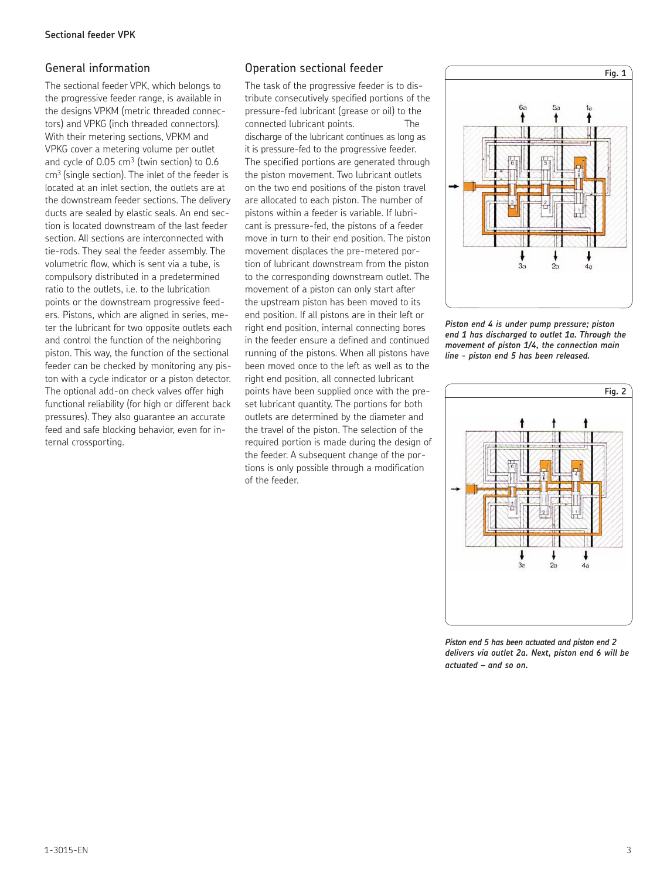### General information

The sectional feeder VPK, which belongs to the progressive feeder range, is available in the designs VPKM (metric threaded connectors) and VPKG (inch threaded connectors). With their metering sections, VPKM and VPKG cover a metering volume per outlet and cycle of  $0.05 \text{ cm}^3$  (twin section) to  $0.6$ cm3 (single section). The inlet of the feeder is located at an inlet section, the outlets are at the downstream feeder sections. The delivery ducts are sealed by elastic seals. An end section is located downstream of the last feeder section. All sections are interconnected with tie-rods. They seal the feeder assembly. The volumetric flow, which is sent via a tube, is compulsory distributed in a predetermined ratio to the outlets, i.e. to the lubrication points or the downstream progressive feeders. Pistons, which are aligned in series, meter the lubricant for two opposite outlets each and control the function of the neighboring piston. This way, the function of the sectional feeder can be checked by monitoring any piston with a cycle indicator or a piston detector. The optional add-on check valves offer high functional reliability (for high or different back pressures). They also guarantee an accurate feed and safe blocking behavior, even for internal crossporting.

### Operation sectional feeder

The task of the progressive feeder is to distribute consecutively specified portions of the pressure-fed lubricant (grease or oil) to the connected lubricant points. The discharge of the lubricant continues as long as it is pressure-fed to the progressive feeder. The specified portions are generated through the piston movement. Two lubricant outlets on the two end positions of the piston travel are allocated to each piston. The number of pistons within a feeder is variable. If lubricant is pressure-fed, the pistons of a feeder move in turn to their end position. The piston movement displaces the pre-metered portion of lubricant downstream from the piston to the corresponding downstream outlet. The movement of a piston can only start after the upstream piston has been moved to its end position. If all pistons are in their left or right end position, internal connecting bores in the feeder ensure a defined and continued running of the pistons. When all pistons have been moved once to the left as well as to the right end position, all connected lubricant points have been supplied once with the preset lubricant quantity. The portions for both outlets are determined by the diameter and the travel of the piston. The selection of the required portion is made during the design of the feeder. A subsequent change of the portions is only possible through a modification of the feeder.



*Piston end 4 is under pump pressure; piston end 1 has discharged to outlet 1a. Through the movement of piston 1/4, the connection main line - piston end 5 has been released.*



*Piston end 5 has been actuated and piston end 2 delivers via outlet 2a. Next, piston end 6 will be actuated – and so on.*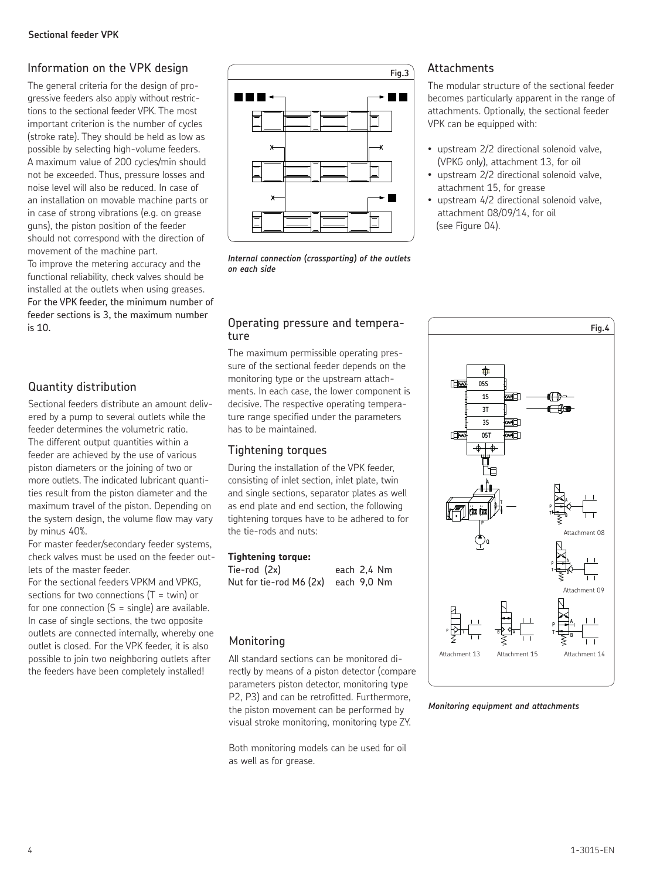## Information on the VPK design

The general criteria for the design of progressive feeders also apply without restrictions to the sectional feeder VPK. The most important criterion is the number of cycles (stroke rate). They should be held as low as possible by selecting high-volume feeders. A maximum value of 200 cycles/min should not be exceeded. Thus, pressure losses and noise level will also be reduced. In case of an installation on movable machine parts or in case of strong vibrations (e.g. on grease guns), the piston position of the feeder should not correspond with the direction of movement of the machine part.

To improve the metering accuracy and the functional reliability, check valves should be installed at the outlets when using greases. For the VPK feeder, the minimum number of feeder sections is 3, the maximum number is 10.

## Quantity distribution

Sectional feeders distribute an amount delivered by a pump to several outlets while the feeder determines the volumetric ratio. The different output quantities within a feeder are achieved by the use of various piston diameters or the joining of two or more outlets. The indicated lubricant quantities result from the piston diameter and the maximum travel of the piston. Depending on the system design, the volume flow may vary by minus 40%.

For master feeder/secondary feeder systems, check valves must be used on the feeder outlets of the master feeder.

For the sectional feeders VPKM and VPKG, sections for two connections  $(T = twin)$  or for one connection  $(S = single)$  are available. In case of single sections, the two opposite outlets are connected internally, whereby one outlet is closed. For the VPK feeder, it is also possible to join two neighboring outlets after the feeders have been completely installed!



*Internal connection (crossporting) of the outlets on each side*

### Operating pressure and temperature

The maximum permissible operating pressure of the sectional feeder depends on the monitoring type or the upstream attachments. In each case, the lower component is decisive. The respective operating temperature range specified under the parameters has to be maintained.

## Tightening torques

During the installation of the VPK feeder, consisting of inlet section, inlet plate, twin and single sections, separator plates as well as end plate and end section, the following tightening torques have to be adhered to for the tie-rods and nuts:

### **Tightening torque:**

| Tie-rod (2x)                        | each 2.4 Nm |  |
|-------------------------------------|-------------|--|
| Nut for tie-rod M6 (2x) each 9,0 Nm |             |  |

## Monitoring

All standard sections can be monitored directly by means of a piston detector (compare parameters piston detector, monitoring type P2, P3) and can be retrofitted. Furthermore, the piston movement can be performed by visual stroke monitoring, monitoring type ZY.

Both monitoring models can be used for oil as well as for grease.

### **Attachments**

The modular structure of the sectional feeder becomes particularly apparent in the range of attachments. Optionally, the sectional feeder VPK can be equipped with:

- upstream 2/2 directional solenoid valve, (VPKG only), attachment 13, for oil
- upstream 2/2 directional solenoid valve, attachment 15, for grease
- upstream 4/2 directional solenoid valve, attachment 08/09/14, for oil (see Figure 04).



*Monitoring equipment and attachments*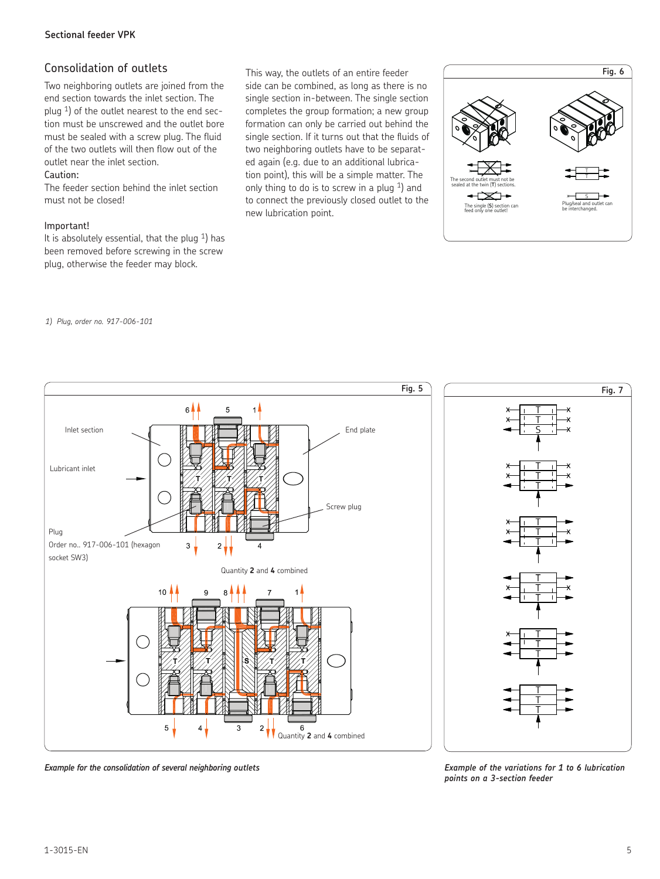### Consolidation of outlets

Two neighboring outlets are joined from the end section towards the inlet section. The plug 1) of the outlet nearest to the end section must be unscrewed and the outlet bore must be sealed with a screw plug. The fluid of the two outlets will then flow out of the outlet near the inlet section.

### Caution:

The feeder section behind the inlet section must not be closed!

### Important!

It is absolutely essential, that the plug  $1$ ) has been removed before screwing in the screw plug, otherwise the feeder may block.

This way, the outlets of an entire feeder side can be combined, as long as there is no single section in-between. The single section completes the group formation; a new group formation can only be carried out behind the single section. If it turns out that the fluids of two neighboring outlets have to be separat-

ed again (e.g. due to an additional lubrication point), this will be a simple matter. The only thing to do is to screw in a plug  $1$ ) and to connect the previously closed outlet to the new lubrication point.



### *1) Plug, order no. 917-006-101*



*Example for the consolidation of several neighboring outlets Example of the variations for 1 to 6 lubrication* 

*points on a 3-section feeder*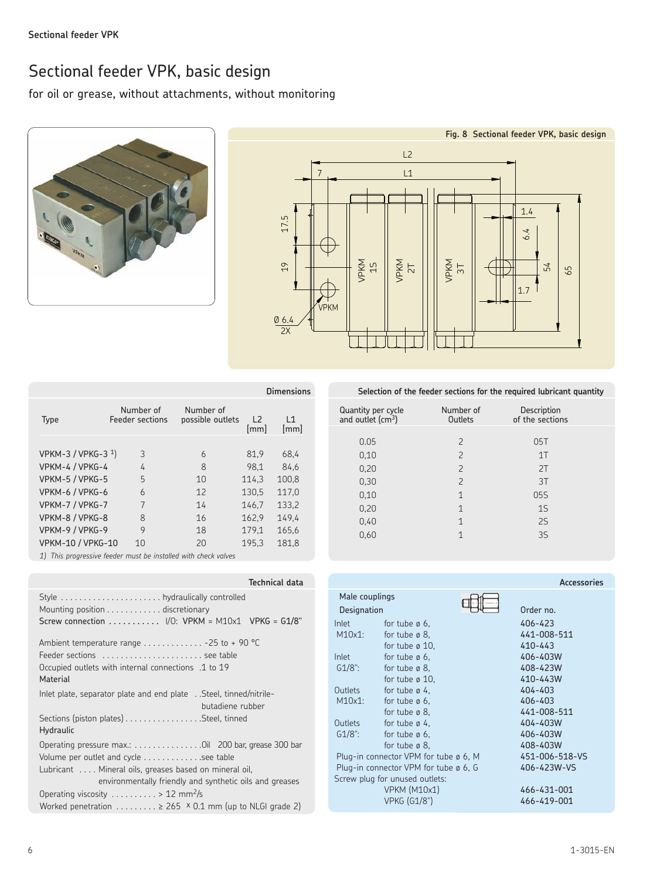## Sectional feeder VPK, basic design

for oil or grease, without attachments, without monitoring





|                          |                              |                               |                        | Dimensions |
|--------------------------|------------------------------|-------------------------------|------------------------|------------|
| Type                     | Number of<br>Feeder sections | Number of<br>possible outlets | L <sub>2</sub><br>[mm] | L1<br>[mm] |
| VPKM-3 / VPKG-3 $1$ )    | 3                            | 6                             | 81.9                   | 68,4       |
| VPKM-4 / VPKG-4          | 4                            | 8                             | 98.1                   | 84.6       |
| VPKM-5 / VPKG-5          | 5                            | 10                            | 114.3                  | 100.8      |
| VPKM-6 / VPKG-6          | $\overline{6}$               | 12                            | 130.5                  | 117.0      |
| VPKM-7 / VPKG-7          | 7                            | 14                            | 146.7                  | 133,2      |
| VPKM-8 / VPKG-8          | 8                            | 16                            | 162.9                  | 149.4      |
| VPKM-9 / VPKG-9          | 9                            | 18                            | 179.1                  | 165,6      |
| <b>VPKM-10 / VPKG-10</b> | 10                           | 20                            | 195.3                  | 181,8      |

*1) This progressive feeder must be installed with check valves*

| <b>Technical data</b>                                                                                                                                                                                              |
|--------------------------------------------------------------------------------------------------------------------------------------------------------------------------------------------------------------------|
| Mounting position discretionary<br>Screw connection $\ldots \ldots \ldots$ /0: VPKM = M10x1 VPKG = G1/8"                                                                                                           |
| Ambient temperature range $\ldots \ldots \ldots \ldots -25$ to +90 °C<br>Feeder sections  see table<br>Occupied outlets with internal connections .1 to 19<br>Material                                             |
| lnlet plate, separator plate and end plate Steel, tinned/nitrile-<br>butadiene rubber                                                                                                                              |
| Sections (piston plates) Steel, tinned<br>Hydraulic                                                                                                                                                                |
| Operating pressure max.: Oil 200 bar, grease 300 bar<br>Volume per outlet and cycle see table<br>Lubricant  Mineral oils, greases based on mineral oil,<br>environmentally friendly and synthetic oils and greases |
| Operating viscosity $\dots \dots \dots > 12$ mm <sup>2</sup> /s                                                                                                                                                    |
| Worked penetration $\dots \dots \dots \ge 265$ × 0.1 mm (up to NLGI grade 2)                                                                                                                                       |

**Selection of the feeder sections for the required lubricant quantity** 

| Quantity per cycle<br>and outlet (cm <sup>3</sup> ) | Number of<br>Outlets     | Description<br>of the sections |  |
|-----------------------------------------------------|--------------------------|--------------------------------|--|
|                                                     |                          |                                |  |
| 0.05                                                | $\mathcal{P}$            | 05T                            |  |
| 0,10                                                | $\overline{\phantom{0}}$ | 1T                             |  |
| 0,20                                                | $\overline{\phantom{0}}$ | 2T                             |  |
| 0,30                                                | $\overline{\phantom{0}}$ | 3T                             |  |
| 0,10                                                | $\mathbf 1$              | 05S                            |  |
| 0,20                                                | $\mathbf 1$              | 1S                             |  |
| 0,40                                                | $\mathbf 1$              | 2S                             |  |
| 0,60                                                | 1                        | 35                             |  |
|                                                     |                          |                                |  |

|                |                                       | Accessories    |
|----------------|---------------------------------------|----------------|
| Male couplings |                                       | Order no.      |
| Designation    |                                       |                |
| Inlet          | for tube $\emptyset$ 6.               | 406-423        |
| $M10x1$ :      | for tube $\varnothing$ 8.             | 441-008-511    |
|                | for tube $\varnothing$ 10,            | $410 - 443$    |
| Inlet          | for tube $\emptyset$ 6.               | 406-403W       |
| $G1/8$ ":      | for tube $\varnothing$ 8.             | 408-423W       |
|                | for tube $\varnothing$ 10,            | 410-443W       |
| Outlets        | for tube $\varnothing$ 4.             | 404-403        |
| $M10x1$ :      | for tube $\emptyset$ 6.               | 406-403        |
|                | for tube $\varnothing$ 8.             | 441-008-511    |
| Outlets        | for tube $\varnothing$ 4.             | 404-403W       |
| $G1/8$ ":      | for tube $\varnothing$ 6.             | 406-403W       |
|                | for tube $\emptyset$ 8.               | 408-403W       |
|                | Plug-in connector VPM for tube ø 6, M | 451-006-518-VS |
|                | Plug-in connector VPM for tube ø 6, G | 406-423W-VS    |
|                | Screw plug for unused outlets:        |                |
|                | <b>VPKM (M10x1)</b>                   | 466-431-001    |
|                | <b>VPKG (G1/8")</b>                   | 466-419-001    |
|                |                                       |                |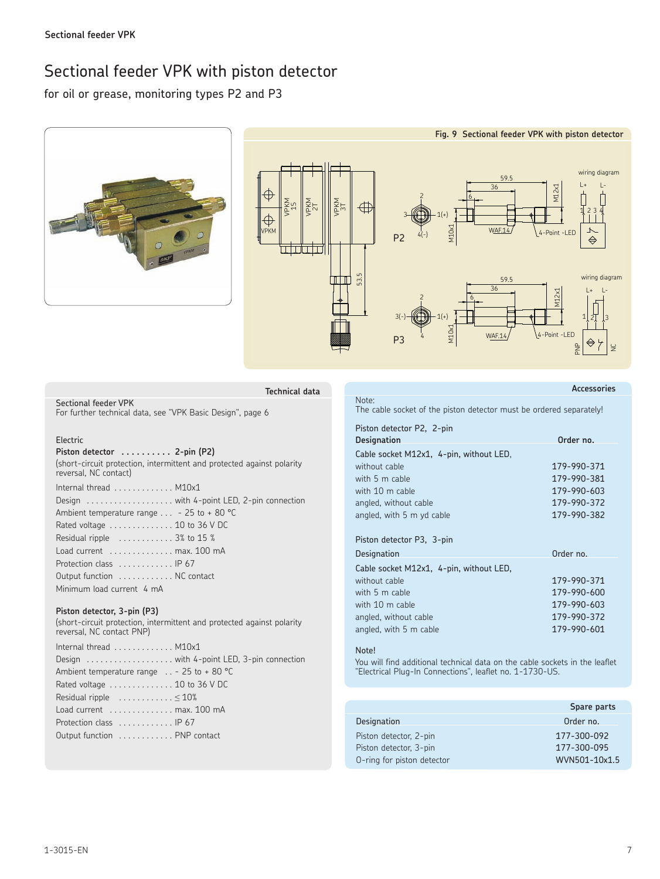## Sectional feeder VPK with piston detector

for oil or grease, monitoring types P2 and P3



| Technical data                                                                                  |  |
|-------------------------------------------------------------------------------------------------|--|
| Sectional feeder VPK<br>For further technical data, see "VPK Basic Design", page 6              |  |
| Electric                                                                                        |  |
| Piston detector $\dots\dots\dots$ 2-pin (P2)                                                    |  |
| (short-circuit protection, intermittent and protected against polarity<br>reversal, NC contact) |  |
| Internal thread $\ldots \ldots \ldots$ M10x1                                                    |  |
| Design  with 4-point LED, 2-pin connection                                                      |  |
| Ambient temperature range $\ldots$ - 25 to + 80 °C                                              |  |
| Rated voltage  10 to 36 V DC                                                                    |  |
| Residual ripple $\,\,\ldots\ldots\ldots\,3\%$ to 15 $\,\mathrm{\%}$                             |  |
| Load current $\dots\dots\dots\dots$ max. 100 mA                                                 |  |
| Protection class $\ldots \ldots \ldots$ . IP 67                                                 |  |
| Output function  NC contact                                                                     |  |
| Minimum load current 4 mA                                                                       |  |

### **Piston detector, 3-pin (P3)**

(short-circuit protection, intermittent and protected against polarity reversal, NC contact PNP)

| Internal thread $\ldots \ldots \ldots$ M10x1      |
|---------------------------------------------------|
| Design  with 4-point LED, 3-pin connection        |
| Ambient temperature range $\ldots$ - 25 to +80 °C |
| Rated voltage  10 to 36 V DC                      |
| Residual ripple $\dots\dots\dots\dots \leq 10\%$  |
| Load current $\dots\dots\dots\dots$ max. 100 mA   |
| Protection class $\ldots \ldots \ldots$ . IP 67   |
| Output function  PNP contact                      |
|                                                   |

**Accessories**

Note: The cable socket of the piston detector must be ordered separately!

| Piston detector P2, 2-pin               |             |
|-----------------------------------------|-------------|
| <b>Designation</b>                      | Order no.   |
| Cable socket M12x1, 4-pin, without LED, |             |
| without cable                           | 179-990-371 |
| with 5 m cable                          | 179-990-381 |
| with 10 m cable                         | 179-990-603 |
| angled, without cable                   | 179-990-372 |
| angled, with 5 m yd cable               | 179-990-382 |
|                                         |             |
| Piston detector P3, 3-pin               |             |
| Designation                             | Order no.   |
| Cable socket M12x1, 4-pin, without LED, |             |
| without cable                           | 179-990-371 |
| with 5 m cable                          | 179-990-600 |
| with 10 m cable                         | 179-990-603 |
| angled, without cable                   | 179-990-372 |
| angled, with 5 m cable                  | 179-990-601 |
|                                         |             |

### Note!

You will find additional technical data on the cable sockets in the leaflet "Electrical Plug-In Connections", leaflet no. 1-1730-US.

|                            | Spare parts   |
|----------------------------|---------------|
| <b>Designation</b>         | Order no.     |
| Piston detector, 2-pin     | 177-300-092   |
| Piston detector, 3-pin     | 177-300-095   |
| O-ring for piston detector | WVN501-10x1.5 |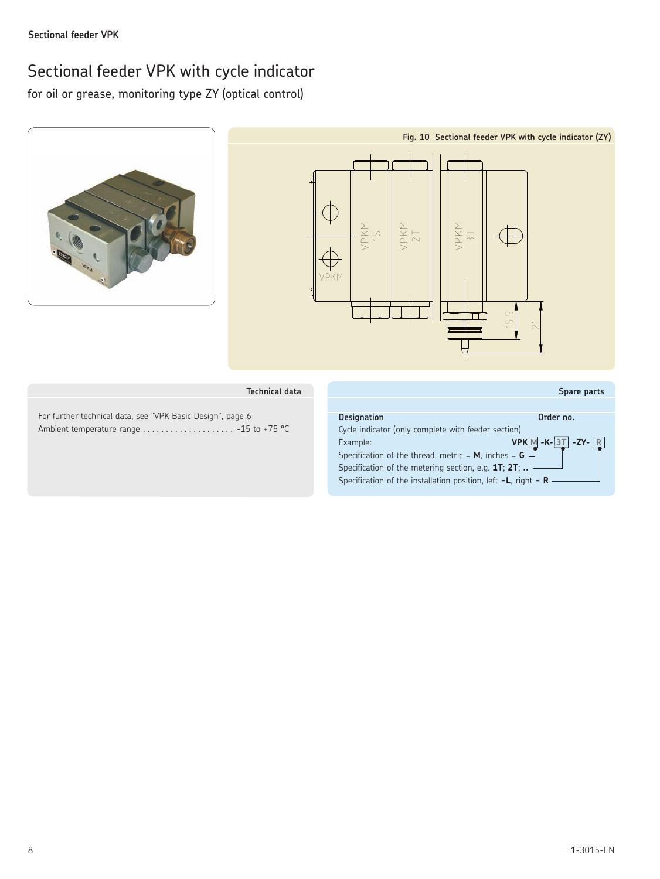## Sectional feeder VPK with cycle indicator

for oil or grease, monitoring type ZY (optical control)



### **Technical data**

For further technical data, see "VPK Basic Design", page 6 Ambient temperature range . . . . . . . . . . . . . . . . . . - 15 to +75 °C

### **Spare parts Designation Order no.** Cycle indicator (only complete with feeder section) **Example: VPK M** - **K-** 3T - **ZY-** R Specification of the thread, metric = **M**, inches = **G** Specification of the metering section, e.g. **1T**; **2T**; **..** Specification of the installation position, left =**L**, right = **R**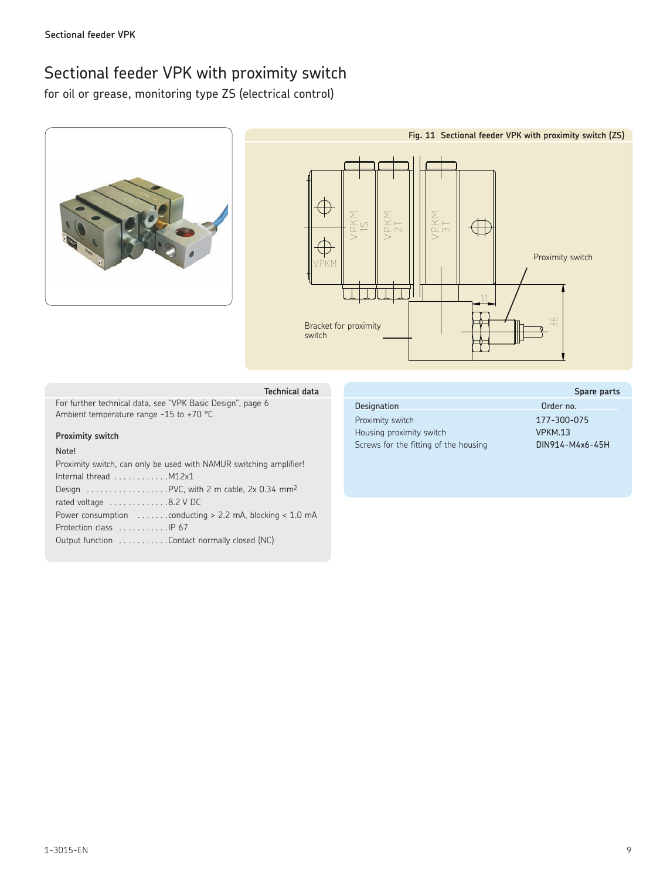## Sectional feeder VPK with proximity switch

for oil or grease, monitoring type ZS (electrical control)





For further technical data, see "VPK Basic Design", page 6 Ambient temperature range -15 to +70 °C

### **Proximity switch**

### Note!

Proximity switch, can only be used with NAMUR switching amplifier! Internal thread  $\dots\dots\dots\dots$  M12x1 Design  $\dots \dots \dots \dots$ . PVC, with 2 m cable, 2x 0.34 mm<sup>2</sup> rated voltage  $\dots\dots\dots\dots.8.2$  V DC Power consumption  $\dots \dots$  conducting > 2.2 mA, blocking < 1.0 mA Protection class ........... IP 67 Output function ..........Contact normally closed (NC)

|                                       | Spare parts     |
|---------------------------------------|-----------------|
| <b>Designation</b>                    | Order no.       |
| Proximity switch                      | 177-300-075     |
| Housing proximity switch              | VPKM.13         |
| Screws for the fitting of the housing | DIN914-M4x6-45H |
|                                       |                 |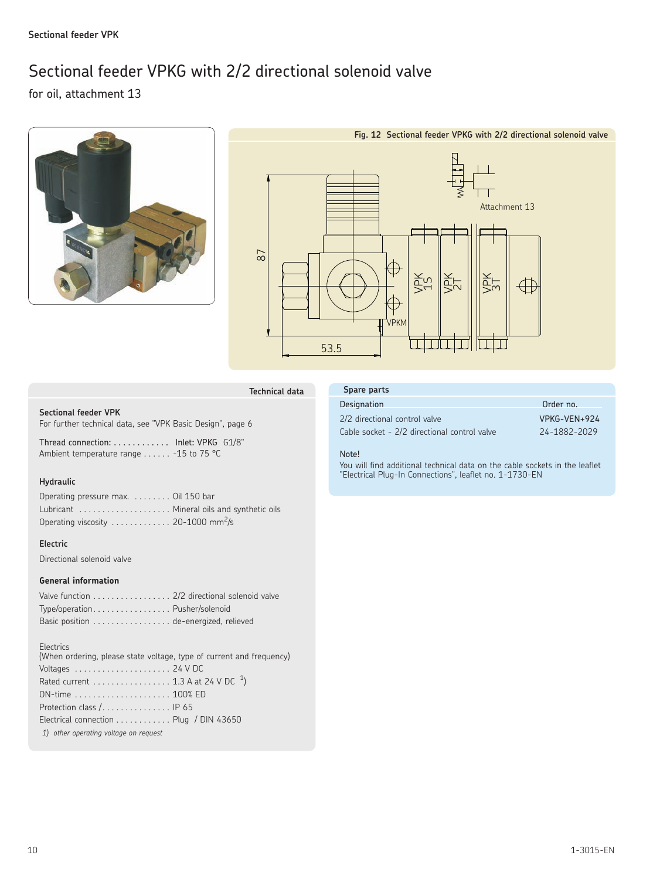## Sectional feeder VPKG with 2/2 directional solenoid valve

for oil, attachment 13





**Technical data**

### **Sectional feeder VPK**

For further technical data, see "VPK Basic Design", page 6

Thread connection: . . . . . . . . . . . . Inlet: VPKG G1/8" Ambient temperature range ...... -15 to 75 °C

### **Hydraulic**

| Operating pressure max.  Oil 150 bar            |  |
|-------------------------------------------------|--|
| Lubricant  Mineral oils and synthetic oils      |  |
| Operating viscosity  20-1000 mm <sup>2</sup> /s |  |

### **Electric**

Directional solenoid valve

### **General information**

| Valve function 2/2 directional solenoid valve |  |
|-----------------------------------------------|--|
| Type/operationPusher/solenoid                 |  |
| Basic position de-energized, relieved         |  |

### **Electrics**

| (When ordering, please state voltage, type of current and frequency) |
|----------------------------------------------------------------------|
| Voltages $\ldots \ldots \ldots \ldots \ldots \ldots 24$ V DC         |
|                                                                      |
|                                                                      |
| Protection class / IP 65                                             |
| Electrical connection $\ldots \ldots \ldots$ . Plug / DIN 43650      |
|                                                                      |
|                                                                      |

### **Spare parts**

### Designation **Order no. Order no.**

2/2 directional control valve VPKG-VEN+924 Cable socket - 2/2 directional control valve 24-1882-2029

### Note!

You will find additional technical data on the cable sockets in the leaflet "Electrical Plug-In Connections", leaflet no. 1-1730-EN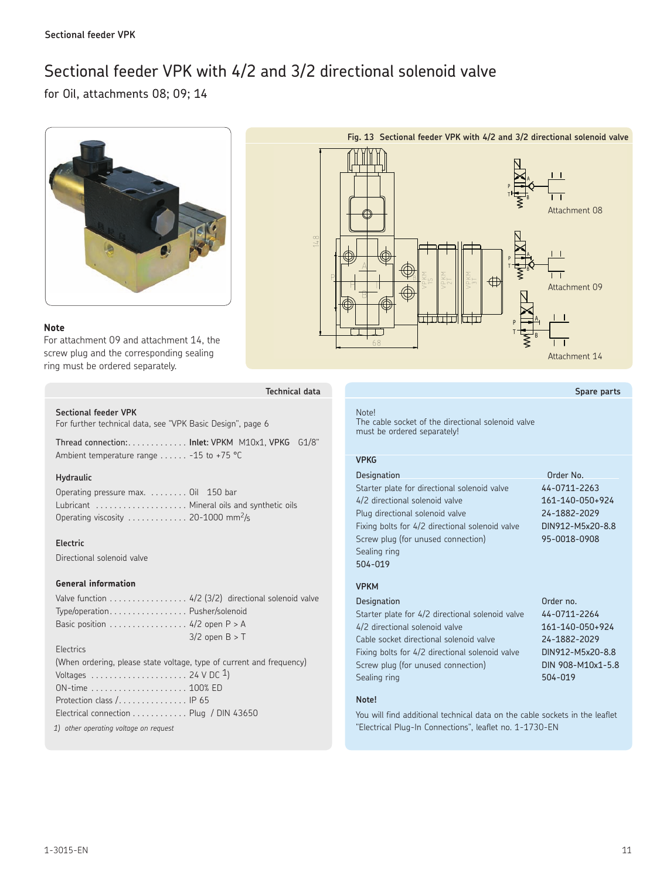## Sectional feeder VPK with 4/2 and 3/2 directional solenoid valve

for Oil, attachments 08; 09; 14





## **Note**

For attachment 09 and attachment 14, the screw plug and the corresponding sealing ring must be ordered separately.

| Technical data |  |
|----------------|--|

### **Sectional feeder VPK**

For further technical data, see "VPK Basic Design", page 6

Thread connection: . . **Inlet**: VPKM M10x1, VPKG G1/8" Ambient temperature range  $\dots$  -15 to +75 °C

### **Hydraulic**

| Operating pressure max.  Oil 150 bar            |  |
|-------------------------------------------------|--|
| Lubricant  Mineral oils and synthetic oils      |  |
| Operating viscosity  20-1000 mm <sup>2</sup> /s |  |

### **Electric**

Directional solenoid valve

### **General information**

| Valve function 4/2 (3/2) directional solenoid valve |                    |  |
|-----------------------------------------------------|--------------------|--|
| Type/operationPusher/solenoid                       |                    |  |
| Basic position 4/2 open $P > A$                     |                    |  |
|                                                     | $3/2$ open $B > T$ |  |

### Electrics

| (When ordering, please state voltage, type of current and frequency) |  |  |
|----------------------------------------------------------------------|--|--|
| Voltages $\ldots \ldots \ldots \ldots \ldots \ldots 24$ V DC 1)      |  |  |
|                                                                      |  |  |
| Protection class $/$ IP 65                                           |  |  |
| Electrical connection Plug / DIN 43650                               |  |  |

 *1) other operating voltage on request*

### **Spare parts**

### Note!

The cable socket of the directional solenoid valve must be ordered separately!

### **VPKG**

| Designation                                     | Order No.        |
|-------------------------------------------------|------------------|
| Starter plate for directional solenoid valve    | 44-0711-2263     |
| 4/2 directional solenoid valve                  | 161-140-050+924  |
| Plug directional solenoid valve                 | 24-1882-2029     |
| Fixing bolts for 4/2 directional solenoid valve | DIN912-M5x20-8.8 |
| Screw plug (for unused connection)              | 95-0018-0908     |
| Sealing ring                                    |                  |
| 504-019                                         |                  |

### **VPKM**

| Designation                                      | Order no.         |
|--------------------------------------------------|-------------------|
| Starter plate for 4/2 directional solenoid valve | 44-0711-2264      |
| 4/2 directional solenoid valve                   | 161-140-050+924   |
| Cable socket directional solenoid valve          | 24-1882-2029      |
| Fixing bolts for 4/2 directional solenoid valve  | DIN912-M5x20-8.8  |
| Screw plug (for unused connection)               | DIN 908-M10x1-5.8 |
| Sealing ring                                     | 504-019           |
|                                                  |                   |

### **Note!**

You will find additional technical data on the cable sockets in the leaflet "Electrical Plug-In Connections", leaflet no. 1-1730-EN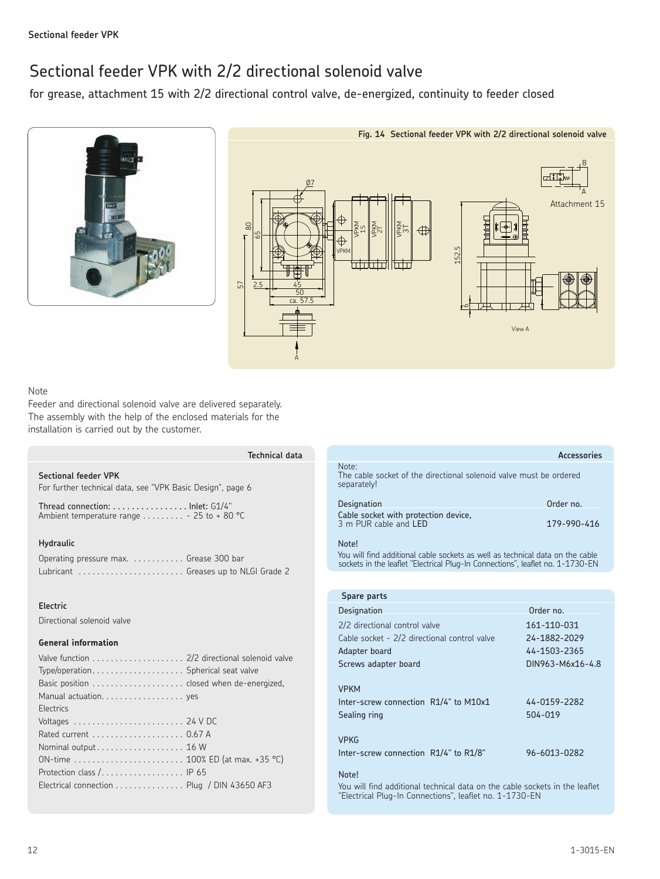## Sectional feeder VPK with 2/2 directional solenoid valve

for grease, attachment 15 with 2/2 directional control valve, de-energized, continuity to feeder closed





### Note

Feeder and directional solenoid valve are delivered separately. The assembly with the help of the enclosed materials for the installation is carried out by the customer.

|                                                                                                            | Technical data |
|------------------------------------------------------------------------------------------------------------|----------------|
| <b>Sectional feeder VPK</b><br>For further technical data, see "VPK Basic Design", page 6                  |                |
| Thread connection: $\dots\dots\dots\dots\dots$ lnlet: $61/4"$<br>Ambient temperature range - 25 to + 80 °C |                |
| <b>Hydraulic</b><br>Operating pressure max.  Grease 300 bar<br>Lubricant  Greases up to NLGI Grade 2       |                |
| Electric<br>Directional solenoid valve                                                                     |                |
| <b>General information</b>                                                                                 |                |

| <b>Flectrics</b>                           |  |
|--------------------------------------------|--|
|                                            |  |
|                                            |  |
|                                            |  |
| ON-time  100% ED (at max. +35 °C)          |  |
| Protection class / IP 65                   |  |
| Electrical connection Plug / DIN 43650 AF3 |  |

|                                                                                                                                                                          | Arressories |
|--------------------------------------------------------------------------------------------------------------------------------------------------------------------------|-------------|
| Note:<br>The cable socket of the directional solenoid valve must be ordered<br>separately!                                                                               |             |
| Designation                                                                                                                                                              | Order no.   |
| Cable socket with protection device,<br>3 m PUR cable and LED                                                                                                            | 179-990-416 |
| Note!<br>You will find additional cable sockets as well as technical data on the cable<br>sockets in the leaflet "Electrical Plug-In Connections", leaflet no. 1-1730-EN |             |
|                                                                                                                                                                          |             |

| Spare parts                                                          |                         |  |  |  |  |  |  |  |
|----------------------------------------------------------------------|-------------------------|--|--|--|--|--|--|--|
| Designation                                                          | Order no.               |  |  |  |  |  |  |  |
| 2/2 directional control valve                                        | 161-110-031             |  |  |  |  |  |  |  |
| Cable socket - 2/2 directional control valve                         | 24-1882-2029            |  |  |  |  |  |  |  |
| Adapter board                                                        | 44-1503-2365            |  |  |  |  |  |  |  |
| Screws adapter board                                                 | DIN963-M6x16-4.8        |  |  |  |  |  |  |  |
| <b>VPKM</b><br>Inter-screw connection R1/4" to M10x1<br>Sealing ring | 44-0159-2282<br>504-019 |  |  |  |  |  |  |  |
| <b>VPKG</b><br>Inter-screw connection R1/4" to R1/8"<br>$N = 1$      | 96-6013-0282            |  |  |  |  |  |  |  |

### Note!

You will find additional technical data on the cable sockets in the leaflet "Electrical Plug-In Connections", leaflet no. 1-1730-EN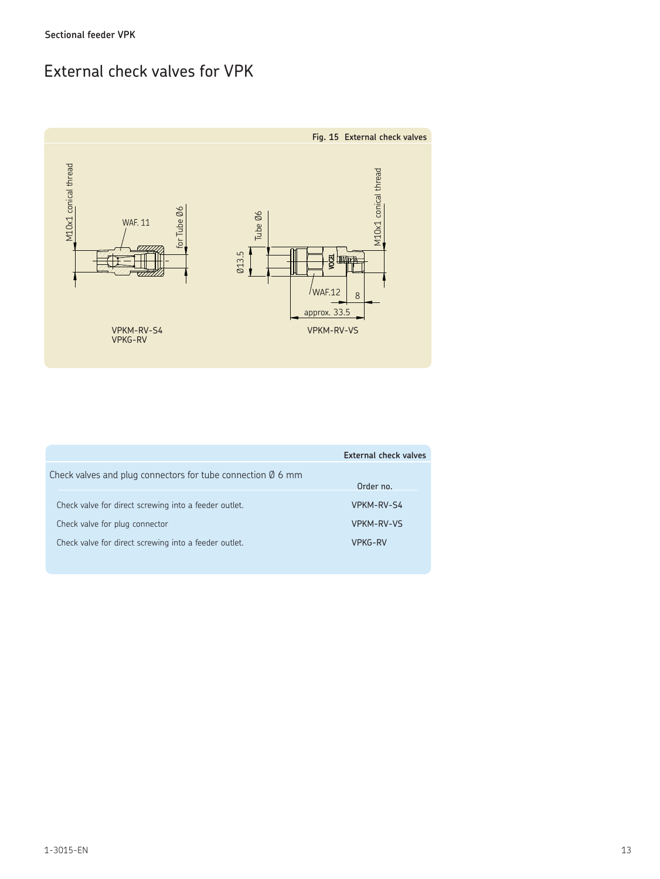## External check valves for VPK



|                                                                       | External check valves |
|-----------------------------------------------------------------------|-----------------------|
| Check valves and plug connectors for tube connection $\emptyset$ 6 mm |                       |
|                                                                       | Order no.             |
| Check valve for direct screwing into a feeder outlet.                 | VPKM-RV-S4            |
| Check valve for plug connector                                        | <b>VPKM-RV-VS</b>     |
| Check valve for direct screwing into a feeder outlet.                 | VPKG-RV               |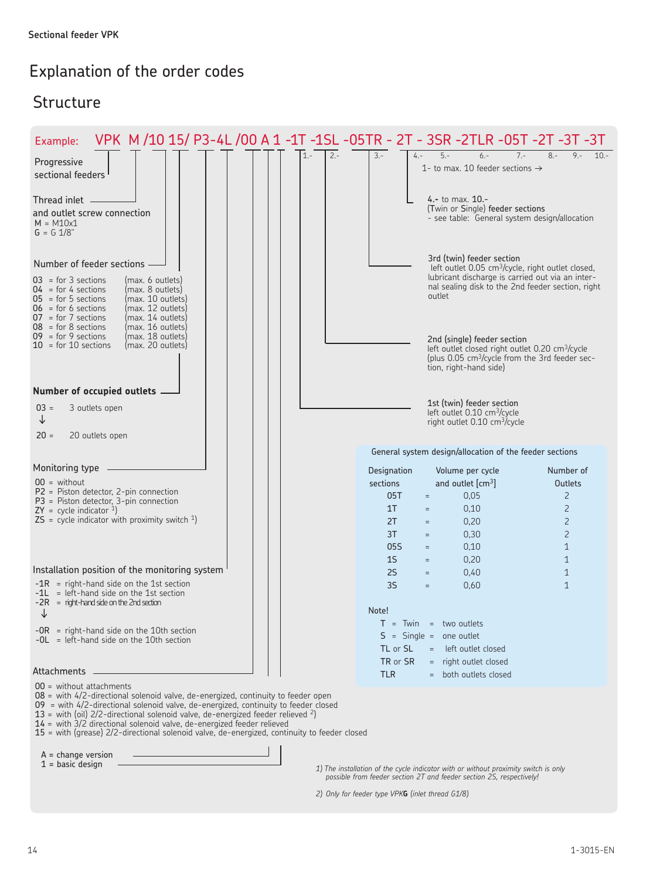## Explanation of the order codes

## Structure

| VPK M /10 15/ P3-4L /00 A 1 -1T -1SL -05TR - 2T - 3SR -2TLR -05T -2T -3T -3T<br>Example:                                                                                                                                                                                                                                                                                                                                                                                      |                  |                  |                                                                                                                                                                                    |                                |
|-------------------------------------------------------------------------------------------------------------------------------------------------------------------------------------------------------------------------------------------------------------------------------------------------------------------------------------------------------------------------------------------------------------------------------------------------------------------------------|------------------|------------------|------------------------------------------------------------------------------------------------------------------------------------------------------------------------------------|--------------------------------|
| Progressive<br>sectional feeders                                                                                                                                                                                                                                                                                                                                                                                                                                              | $1. -$<br>$2. -$ | $3. -$<br>$4. -$ | $5. -$<br>$6 -$<br>$7 -$<br>1- to max. 10 feeder sections $\rightarrow$                                                                                                            | $9 -$<br>$8 -$<br>$10 -$       |
| Thread inlet -<br>and outlet screw connection<br>$M = M10x1$<br>$G = G \frac{1}{8}$                                                                                                                                                                                                                                                                                                                                                                                           |                  |                  | 4. $-$ to max. $10.-$<br>(Twin or Single) feeder sections<br>- see table: General system design/allocation                                                                         |                                |
| Number of feeder sections -                                                                                                                                                                                                                                                                                                                                                                                                                                                   |                  |                  | 3rd (twin) feeder section<br>left outlet 0.05 cm <sup>3</sup> /cycle, right outlet closed,                                                                                         |                                |
| $03 =$ for 3 sections<br>(max. 6 outlets)<br>(max. 8 outlets)<br>$04 =$ for 4 sections<br>$05 =$ for 5 sections<br>(max. 10 outlets)<br>(max. 12 outlets)<br>$06 =$ for 6 sections<br>$07 = for 7 sections$<br>(max. 14 outlets)<br>$08 =$ for 8 sections<br>(max. 16 outlets)                                                                                                                                                                                                |                  |                  | lubricant discharge is carried out via an inter-<br>nal sealing disk to the 2nd feeder section, right<br>outlet                                                                    |                                |
| $09 = for 9 sections$<br>(max. 18 outlets)<br>$10 =$ for 10 sections<br>(max. 20 outlets)                                                                                                                                                                                                                                                                                                                                                                                     |                  |                  | 2nd (single) feeder section<br>left outlet closed right outlet 0.20 cm <sup>3</sup> /cycle<br>(plus 0.05 cm <sup>3</sup> /cycle from the 3rd feeder sec-<br>tion, right-hand side) |                                |
| Number of occupied outlets $-$                                                                                                                                                                                                                                                                                                                                                                                                                                                |                  |                  |                                                                                                                                                                                    |                                |
| $03 =$<br>3 outlets open<br>↓<br>20 outlets open<br>$20 =$                                                                                                                                                                                                                                                                                                                                                                                                                    |                  |                  | 1st (twin) feeder section<br>left outlet 0.10 cm <sup>3</sup> /cycle<br>right outlet 0.10 cm <sup>3</sup> /cycle                                                                   |                                |
|                                                                                                                                                                                                                                                                                                                                                                                                                                                                               |                  |                  | General system design/allocation of the feeder sections                                                                                                                            |                                |
| Monitoring type -                                                                                                                                                                                                                                                                                                                                                                                                                                                             |                  | Designation      | Volume per cycle                                                                                                                                                                   | Number of                      |
| $00 =$ without                                                                                                                                                                                                                                                                                                                                                                                                                                                                |                  | sections         | and outlet $\text{cm}^3$                                                                                                                                                           | <b>Outlets</b>                 |
| $P2$ = Piston detector, 2-pin connection<br>$P3$ = Piston detector, 3-pin connection                                                                                                                                                                                                                                                                                                                                                                                          |                  | 05T              | 0,05<br>$=$                                                                                                                                                                        | $\overline{c}$                 |
| $ZY = cycle indicator 1$                                                                                                                                                                                                                                                                                                                                                                                                                                                      |                  | 1T               | 0,10<br>$=$                                                                                                                                                                        | $\overline{c}$                 |
| $\textsf{ZS}$ = cycle indicator with proximity switch <sup>1</sup> )                                                                                                                                                                                                                                                                                                                                                                                                          |                  | 2T               | 0,20<br>$=$                                                                                                                                                                        | $\overline{c}$                 |
|                                                                                                                                                                                                                                                                                                                                                                                                                                                                               |                  | 3T<br>05S        | 0,30<br>$\equiv$<br>0,10<br>$\equiv$                                                                                                                                               | $\overline{c}$<br>$\mathbf{1}$ |
|                                                                                                                                                                                                                                                                                                                                                                                                                                                                               |                  | 1 <sub>S</sub>   | 0,20<br>$=$                                                                                                                                                                        | $\mathbf{1}$                   |
| Installation position of the monitoring system                                                                                                                                                                                                                                                                                                                                                                                                                                |                  | 2S               | 0,40<br>$=$                                                                                                                                                                        | $\mathbf{1}$                   |
| $-1R$ = right-hand side on the 1st section<br>-1L = left-hand side on the 1st section<br>$-2R$ = right-hand side on the 2nd section                                                                                                                                                                                                                                                                                                                                           |                  | 3S               | 0,60<br>$=$                                                                                                                                                                        | $\mathbf{1}$                   |
| ↓                                                                                                                                                                                                                                                                                                                                                                                                                                                                             |                  | Note!            |                                                                                                                                                                                    |                                |
| $-OR$ = right-hand side on the 10th section<br>$-OL$ = left-hand side on the 10th section                                                                                                                                                                                                                                                                                                                                                                                     |                  | TL or SL         | $T = Twin = two outlets$<br>$S =$ Single = one outlet<br>left outlet closed                                                                                                        |                                |
|                                                                                                                                                                                                                                                                                                                                                                                                                                                                               |                  | TR or SR         | = right outlet closed                                                                                                                                                              |                                |
| Attachments                                                                                                                                                                                                                                                                                                                                                                                                                                                                   |                  | <b>TLR</b>       | = both outlets closed                                                                                                                                                              |                                |
| $00 =$ without attachments<br>$08$ = with 4/2-directional solenoid valve, de-energized, continuity to feeder open<br>$09$ = with 4/2-directional solenoid valve, de-energized, continuity to feeder closed<br>13 = with (oil) $2/2$ -directional solenoid valve, de-energized feeder relieved $2$ )<br>14 = with 3/2 directional solenoid valve, de-energized feeder relieved<br>15 = with (grease) 2/2-directional solenoid valve, de-energized, continuity to feeder closed |                  |                  |                                                                                                                                                                                    |                                |
| $A = change version$<br>$1 = basic design$                                                                                                                                                                                                                                                                                                                                                                                                                                    |                  |                  | 1) The installation of the cycle indicator with or without proximity switch is only                                                                                                |                                |

*1) The installation of the cycle indicator with or without proximity switch is only possible from feeder section 2T and feeder section 2S, respectively!*

*2) Only for feeder type VPK***G** *(inlet thread G1/8)*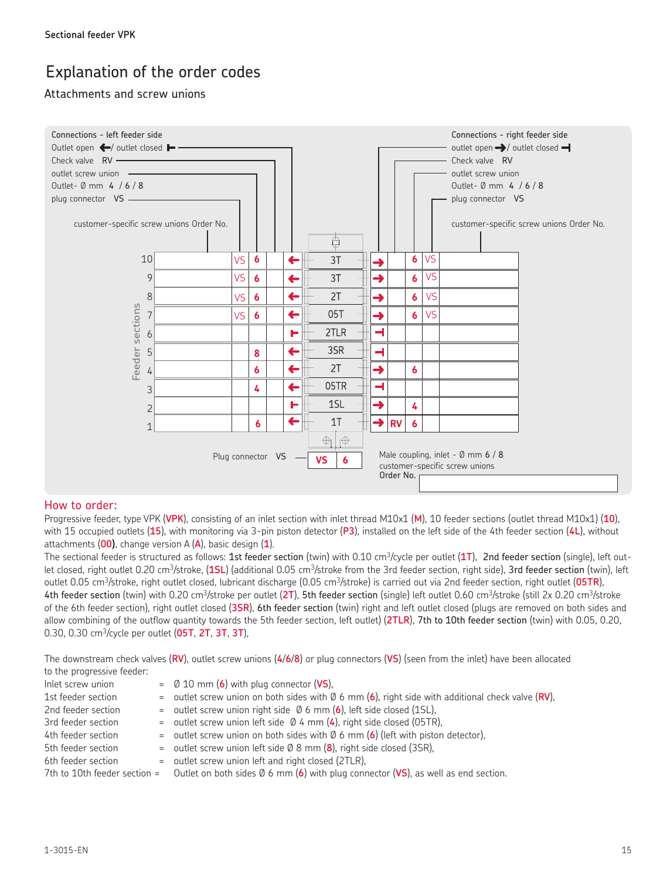## Explanation of the order codes

### Attachments and screw unions



### How to order:

Progressive feeder, type VPK (**VPK**), consisting of an inlet section with inlet thread M10x1 (**M**), 10 feeder sections (outlet thread M10x1) (**10**), with 15 occupied outlets (**15**), with monitoring via 3-pin piston detector (**P3**), installed on the left side of the 4th feeder section (**4L**), without attachments (**00)**, change version A (**A**), basic design (**1**).

The sectional feeder is structured as follows: 1st feeder section (twin) with 0.10 cm3/cycle per outlet (**1T**), 2nd feeder section (single), left outlet closed, right outlet 0.20 cm3/stroke, (**1SL**) (additional 0.05 cm3/stroke from the 3rd feeder section, right side), 3rd feeder section (twin), left outlet 0.05 cm3/stroke, right outlet closed, lubricant discharge (0.05 cm3/stroke) is carried out via 2nd feeder section, right outlet (**05TR**), 4th feeder section (twin) with 0.20 cm<sup>3</sup>/stroke per outlet (2T), 5th feeder section (single) left outlet 0.60 cm<sup>3</sup>/stroke (still 2x 0.20 cm<sup>3</sup>/stroke of the 6th feeder section), right outlet closed (**3SR**), 6th feeder section (twin) right and left outlet closed (plugs are removed on both sides and allow combining of the outflow quantity towards the 5th feeder section, left outlet) (**2TLR**), 7th to 10th feeder section (twin) with 0.05, 0.20, 0.30, 0.30 cm3/cycle per outlet (**05T**, **2T**, **3T**, **3T**),

The downstream check valves (**RV**), outlet screw unions (**4**/**6**/**8**) or plug connectors (**VS**) (seen from the inlet) have been allocated to the progressive feeder:

| Inlet screw union  | $=$ 0 10 mm (6) with plug connector (VS),                                                                                |
|--------------------|--------------------------------------------------------------------------------------------------------------------------|
| 1st feeder section | = outlet screw union on both sides with $\emptyset$ 6 mm (6), right side with additional check valve (RV),               |
| 2nd feeder section | = outlet screw union right side $\emptyset$ 6 mm (6), left side closed (1SL),                                            |
| 3rd feeder section | = outlet screw union left side $\emptyset$ 4 mm (4), right side closed (05TR),                                           |
| 4th feeder section | = outlet screw union on both sides with $\emptyset$ 6 mm (6) (left with piston detector),                                |
| 5th feeder section | = outlet screw union left side $\emptyset$ 8 mm (8), right side closed (3SR),                                            |
| 6th feeder section | = outlet screw union left and right closed (2TLR),                                                                       |
|                    | 7th to 10th feeder section = Outlet on both sides $\emptyset$ 6 mm (6) with plug connector (VS), as well as end section. |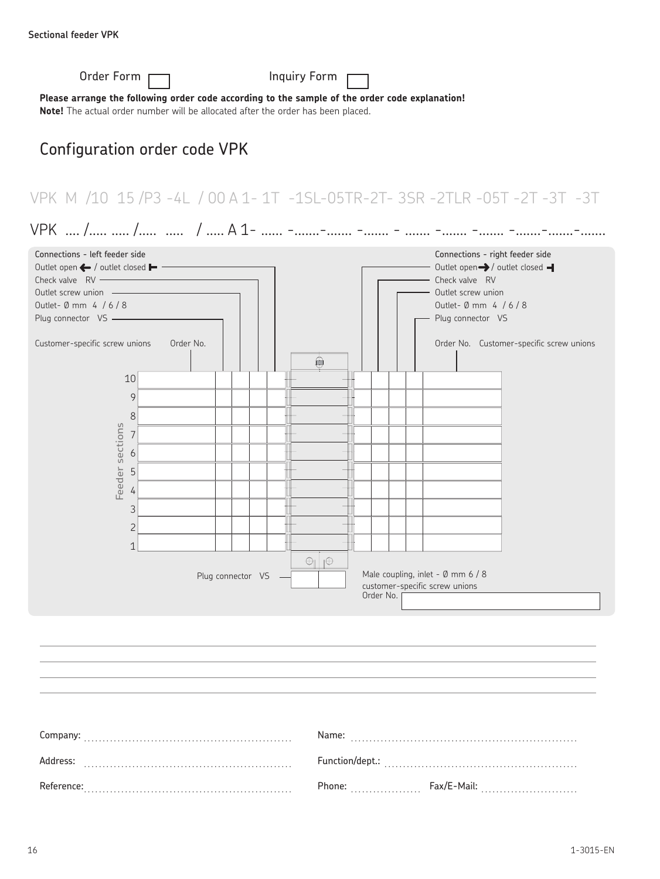| Order Form                                                                                                                                                                                                                                                                |           |                   | Inquiry Form          |                                             |                                                                                                                                                                                                           |  |  |  |  |  |  |
|---------------------------------------------------------------------------------------------------------------------------------------------------------------------------------------------------------------------------------------------------------------------------|-----------|-------------------|-----------------------|---------------------------------------------|-----------------------------------------------------------------------------------------------------------------------------------------------------------------------------------------------------------|--|--|--|--|--|--|
| Please arrange the following order code according to the sample of the order code explanation!<br>Note! The actual order number will be allocated after the order has been placed.                                                                                        |           |                   |                       |                                             |                                                                                                                                                                                                           |  |  |  |  |  |  |
| Configuration order code VPK                                                                                                                                                                                                                                              |           |                   |                       |                                             |                                                                                                                                                                                                           |  |  |  |  |  |  |
|                                                                                                                                                                                                                                                                           |           |                   |                       |                                             | VPK M /10 15 /P3 -4L / 00 A 1- 1T -1SL-05TR-2T- 3SR -2TLR -05T -2T -3T -3T                                                                                                                                |  |  |  |  |  |  |
| VPK  /  /  /  A 1-  - - -  -                                                                                                                                                                                                                                              |           |                   |                       |                                             |                                                                                                                                                                                                           |  |  |  |  |  |  |
| Connections - left feeder side<br>Outlet open ← / outlet closed ► –<br>Outlet screw union -<br>Outlet- Ø mm 4 / 6 / 8<br>Plug connector VS -<br>Customer-specific screw unions<br>10<br>$\circ$<br>8<br>Feeder sections<br>$\overline{7}$<br>6<br>5<br>4<br>$\mathcal{S}$ | Order No. |                   | ÎШ                    |                                             | Connections - right feeder side<br>Outlet open > / outlet closed -<br>Check valve RV<br>Outlet screw union<br>Outlet- Ø mm $4 / 6 / 8$<br>- Plug connector VS<br>Order No. Customer-specific screw unions |  |  |  |  |  |  |
| $\overline{c}$<br>$\mathbf 1$                                                                                                                                                                                                                                             |           |                   |                       |                                             |                                                                                                                                                                                                           |  |  |  |  |  |  |
|                                                                                                                                                                                                                                                                           |           | Plug connector VS | $\bigoplus \bigoplus$ | customer-specific screw unions<br>Order No. | Male coupling, inlet - Ø mm 6 / 8                                                                                                                                                                         |  |  |  |  |  |  |

Company: . . . . . . . . . . . . . . . . . . . . . . . . . . . . . . . . . . . . . . . . . . . . . . . . . . . . . . . . Address: . . . . . . . . . . . . . . . . . . . . . . . . . . . . . . . . . . . . . . . . . . . . . . . . . . . . . . . . Reference: . . . . . . . . . . . . . . . . . . . . . . . . . . . . . . . . . . . . . . . . . . . . . . . . . . . . . . . . Name: . . . . . . . . . . . . . . . . . . . . . . . . . . . . . . . . . . . . . . . . . . . . . . . . . . . . . . . . . . . . . Function/dept.: . . . . . . . . . . . . . . . . . . . . . . . . . . . . . . . . . . . . . . . . . . . . . . . . . . . . Phone: . . . . . . . . . . . . . . . . . . . Fax/E-Mail: . . . . . . . . . . . . . . . . . . . . . . . . . .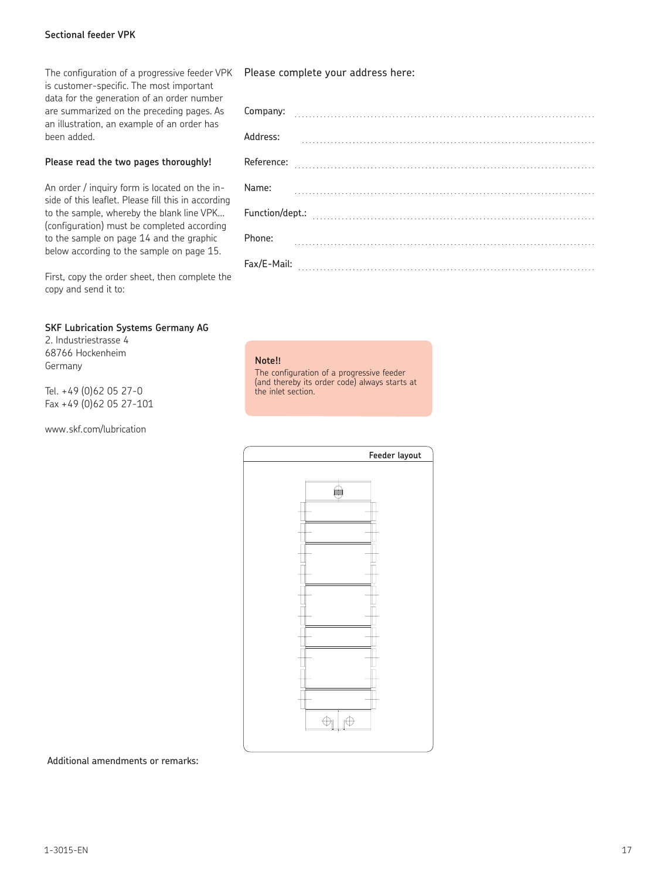### **Sectional feeder VPK Sectional feeder VPK**

The configuration of a progressive feeder VPK Please complete your address here: is customer-specific. The most important data for the generation of an order number are summarized on the preceding pages. As an illustration, an example of an order has been added.

### **Please read the two pages thoroughly!**

An order / inquiry form is located on the inside of this leaflet. Please fill this in according to the sample, whereby the blank line VPK... (configuration) must be completed according to the sample on page 14 and the graphic below according to the sample on page 15.

First, copy the order sheet, then complete the copy and send it to:

### **SKF Lubrication Systems Germany AG**

2. Industriestrasse 4 68766 Hockenheim Germany

Tel. +49 (0)62 05 27-0 Fax +49 (0)62 05 27-101

www.skf.com/lubrication

| Company:    |  |  |  |  |  |  |  |  |  |  |
|-------------|--|--|--|--|--|--|--|--|--|--|
| Address:    |  |  |  |  |  |  |  |  |  |  |
| Reference:  |  |  |  |  |  |  |  |  |  |  |
| Name:       |  |  |  |  |  |  |  |  |  |  |
|             |  |  |  |  |  |  |  |  |  |  |
| Phone:      |  |  |  |  |  |  |  |  |  |  |
| Fax/E-Mail: |  |  |  |  |  |  |  |  |  |  |

### **Note!!**

The configuration of a progressive feeder (and thereby its order code) always starts at the inlet section.



Additional amendments or remarks: